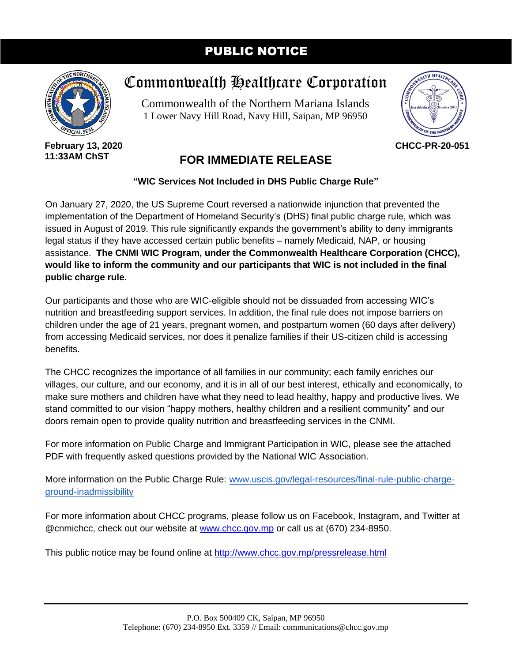# PUBLIC NOTICE



**February 13, 2020 11:33AM ChST**

# Commonwealth Healthcare Corporation

Commonwealth of the Northern Mariana Islands 1 Lower Navy Hill Road, Navy Hill, Saipan, MP 96950



**CHCC-PR-20-051**

# **FOR IMMEDIATE RELEASE**

**"WIC Services Not Included in DHS Public Charge Rule"**

On January 27, 2020, the US Supreme Court reversed a nationwide injunction that prevented the implementation of the Department of Homeland Security's (DHS) final public charge rule, which was issued in August of 2019. This rule significantly expands the government's ability to deny immigrants legal status if they have accessed certain public benefits – namely Medicaid, NAP, or housing assistance. **The CNMI WIC Program, under the Commonwealth Healthcare Corporation (CHCC), would like to inform the community and our participants that WIC is not included in the final public charge rule.**

Our participants and those who are WIC-eligible should not be dissuaded from accessing WIC's nutrition and breastfeeding support services. In addition, the final rule does not impose barriers on children under the age of 21 years, pregnant women, and postpartum women (60 days after delivery) from accessing Medicaid services, nor does it penalize families if their US-citizen child is accessing benefits.

The CHCC recognizes the importance of all families in our community; each family enriches our villages, our culture, and our economy, and it is in all of our best interest, ethically and economically, to make sure mothers and children have what they need to lead healthy, happy and productive lives. We stand committed to our vision "happy mothers, healthy children and a resilient community" and our doors remain open to provide quality nutrition and breastfeeding services in the CNMI.

For more information on Public Charge and Immigrant Participation in WIC, please see the attached PDF with frequently asked questions provided by the National WIC Association.

More information on the Public Charge Rule: [www.uscis.gov/legal-resources/final-rule-public-charge](http://www.uscis.gov/legal-resources/final-rule-public-charge-ground-inadmissibility)[ground-inadmissibility](http://www.uscis.gov/legal-resources/final-rule-public-charge-ground-inadmissibility)

For more information about CHCC programs, please follow us on Facebook, Instagram, and Twitter at @cnmichcc, check out our website at [www.chcc.gov.mp](http://www.chcc.gov.mp/) or call us at (670) 234-8950.

This public notice may be found online at<http://www.chcc.gov.mp/pressrelease.html>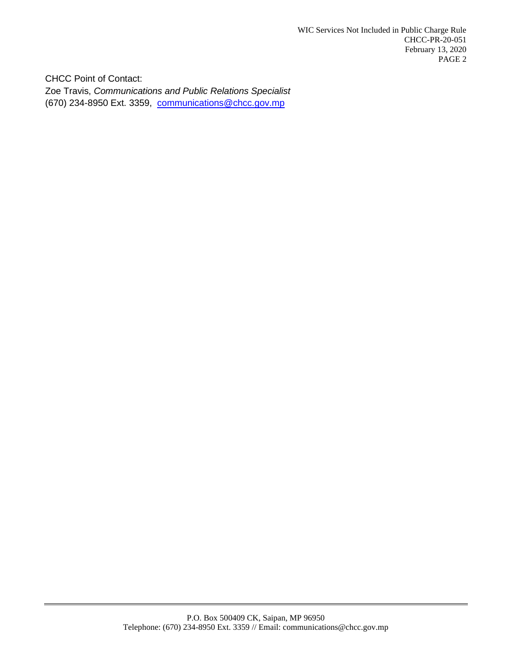CHCC Point of Contact: Zoe Travis, *Communications and Public Relations Specialist* (670) 234-8950 Ext. 3359, [communications@chcc.gov.mp](mailto:communications@chcc.gov.mp)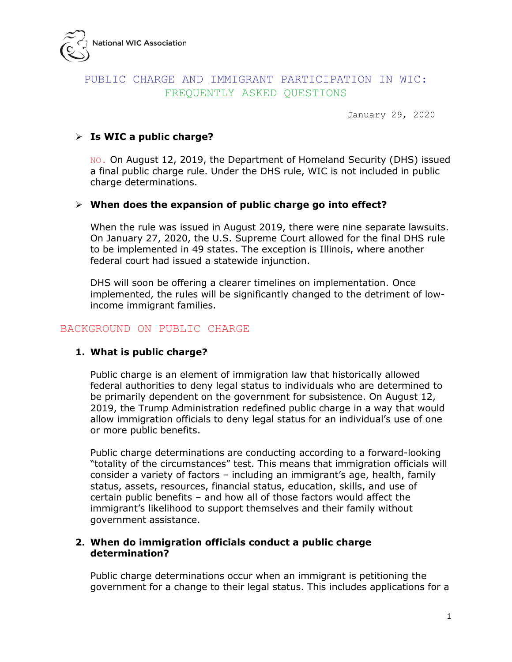

# PUBLIC CHARGE AND IMMIGRANT PARTICIPATION IN WIC: FREQUENTLY ASKED QUESTIONS

January 29, 2020

#### **Is WIC a public charge?**

NO. On August 12, 2019, the Department of Homeland Security (DHS) issued a final public charge rule. Under the DHS rule, WIC is not included in public charge determinations.

#### **When does the expansion of public charge go into effect?**

When the rule was issued in August 2019, there were nine separate lawsuits. On January 27, 2020, the U.S. Supreme Court allowed for the final DHS rule to be implemented in 49 states. The exception is Illinois, where another federal court had issued a statewide injunction.

DHS will soon be offering a clearer timelines on implementation. Once implemented, the rules will be significantly changed to the detriment of lowincome immigrant families.

#### BACKGROUND ON PUBLIC CHARGE

#### **1. What is public charge?**

Public charge is an element of immigration law that historically allowed federal authorities to deny legal status to individuals who are determined to be primarily dependent on the government for subsistence. On August 12, 2019, the Trump Administration redefined public charge in a way that would allow immigration officials to deny legal status for an individual's use of one or more public benefits.

Public charge determinations are conducting according to a forward-looking "totality of the circumstances" test. This means that immigration officials will consider a variety of factors – including an immigrant's age, health, family status, assets, resources, financial status, education, skills, and use of certain public benefits – and how all of those factors would affect the immigrant's likelihood to support themselves and their family without government assistance.

#### **2. When do immigration officials conduct a public charge determination?**

Public charge determinations occur when an immigrant is petitioning the government for a change to their legal status. This includes applications for a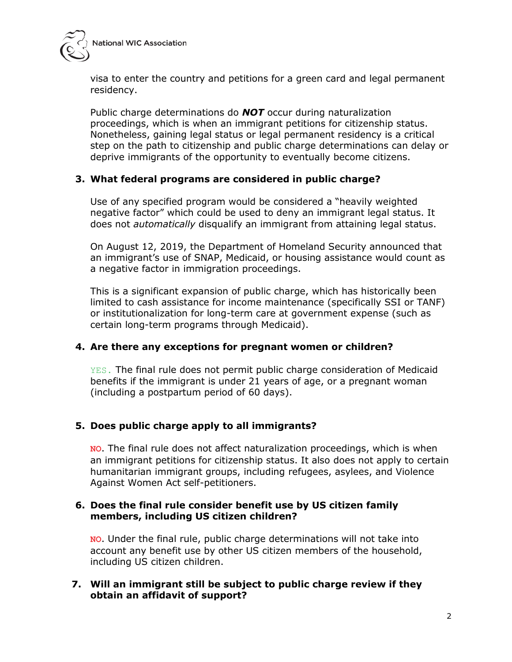



visa to enter the country and petitions for a green card and legal permanent residency.

Public charge determinations do *NOT* occur during naturalization proceedings, which is when an immigrant petitions for citizenship status. Nonetheless, gaining legal status or legal permanent residency is a critical step on the path to citizenship and public charge determinations can delay or deprive immigrants of the opportunity to eventually become citizens.

# **3. What federal programs are considered in public charge?**

Use of any specified program would be considered a "heavily weighted negative factor" which could be used to deny an immigrant legal status. It does not *automatically* disqualify an immigrant from attaining legal status.

On August 12, 2019, the Department of Homeland Security announced that an immigrant's use of SNAP, Medicaid, or housing assistance would count as a negative factor in immigration proceedings.

This is a significant expansion of public charge, which has historically been limited to cash assistance for income maintenance (specifically SSI or TANF) or institutionalization for long-term care at government expense (such as certain long-term programs through Medicaid).

# **4. Are there any exceptions for pregnant women or children?**

YES. The final rule does not permit public charge consideration of Medicaid benefits if the immigrant is under 21 years of age, or a pregnant woman (including a postpartum period of 60 days).

# **5. Does public charge apply to all immigrants?**

**NO**. The final rule does not affect naturalization proceedings, which is when an immigrant petitions for citizenship status. It also does not apply to certain humanitarian immigrant groups, including refugees, asylees, and Violence Against Women Act self-petitioners.

# **6. Does the final rule consider benefit use by US citizen family members, including US citizen children?**

**NO**. Under the final rule, public charge determinations will not take into account any benefit use by other US citizen members of the household, including US citizen children.

# **7. Will an immigrant still be subject to public charge review if they obtain an affidavit of support?**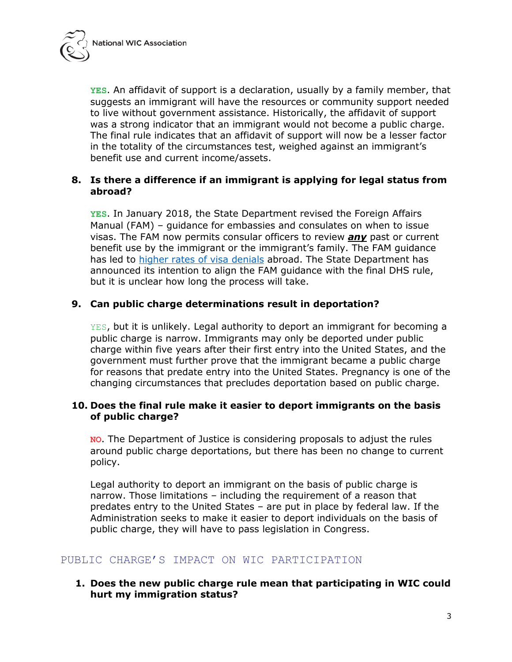

**YES**. An affidavit of support is a declaration, usually by a family member, that suggests an immigrant will have the resources or community support needed to live without government assistance. Historically, the affidavit of support was a strong indicator that an immigrant would not become a public charge. The final rule indicates that an affidavit of support will now be a lesser factor in the totality of the circumstances test, weighed against an immigrant's benefit use and current income/assets.

#### **8. Is there a difference if an immigrant is applying for legal status from abroad?**

**YES**. In January 2018, the State Department revised the Foreign Affairs Manual (FAM) – guidance for embassies and consulates on when to issue visas. The FAM now permits consular officers to review *any* past or current benefit use by the immigrant or the immigrant's family. The FAM guidance has led to [higher rates of visa denials](https://www.politico.com/story/2019/08/06/visa-denials-poor-mexicans-trump-1637094) abroad. The State Department has announced its intention to align the FAM guidance with the final DHS rule, but it is unclear how long the process will take.

#### **9. Can public charge determinations result in deportation?**

YES, but it is unlikely. Legal authority to deport an immigrant for becoming a public charge is narrow. Immigrants may only be deported under public charge within five years after their first entry into the United States, and the government must further prove that the immigrant became a public charge for reasons that predate entry into the United States. Pregnancy is one of the changing circumstances that precludes deportation based on public charge.

#### **10. Does the final rule make it easier to deport immigrants on the basis of public charge?**

**NO**. The Department of Justice is considering proposals to adjust the rules around public charge deportations, but there has been no change to current policy.

Legal authority to deport an immigrant on the basis of public charge is narrow. Those limitations – including the requirement of a reason that predates entry to the United States – are put in place by federal law. If the Administration seeks to make it easier to deport individuals on the basis of public charge, they will have to pass legislation in Congress.

# PUBLIC CHARGE'S IMPACT ON WIC PARTICIPATION

#### **1. Does the new public charge rule mean that participating in WIC could hurt my immigration status?**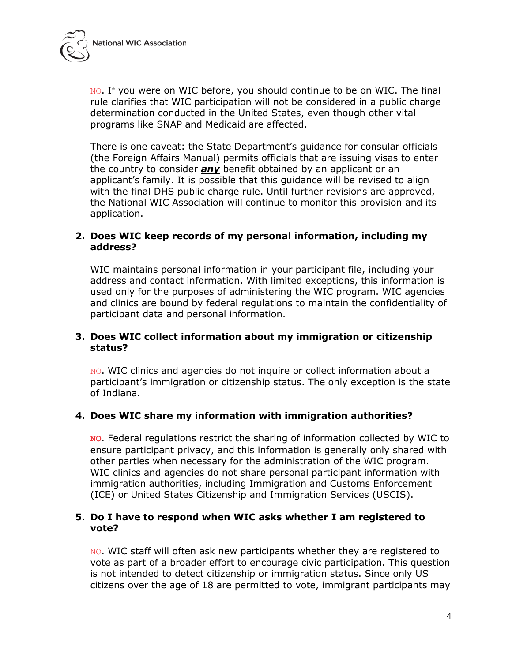

NO. If you were on WIC before, you should continue to be on WIC. The final rule clarifies that WIC participation will not be considered in a public charge determination conducted in the United States, even though other vital programs like SNAP and Medicaid are affected.

There is one caveat: the State Department's guidance for consular officials (the Foreign Affairs Manual) permits officials that are issuing visas to enter the country to consider *any* benefit obtained by an applicant or an applicant's family. It is possible that this guidance will be revised to align with the final DHS public charge rule. Until further revisions are approved, the National WIC Association will continue to monitor this provision and its application.

#### **2. Does WIC keep records of my personal information, including my address?**

WIC maintains personal information in your participant file, including your address and contact information. With limited exceptions, this information is used only for the purposes of administering the WIC program. WIC agencies and clinics are bound by federal regulations to maintain the confidentiality of participant data and personal information.

# **3. Does WIC collect information about my immigration or citizenship status?**

NO. WIC clinics and agencies do not inquire or collect information about a participant's immigration or citizenship status. The only exception is the state of Indiana.

# **4. Does WIC share my information with immigration authorities?**

**NO**. Federal regulations restrict the sharing of information collected by WIC to ensure participant privacy, and this information is generally only shared with other parties when necessary for the administration of the WIC program. WIC clinics and agencies do not share personal participant information with immigration authorities, including Immigration and Customs Enforcement (ICE) or United States Citizenship and Immigration Services (USCIS).

# **5. Do I have to respond when WIC asks whether I am registered to vote?**

NO. WIC staff will often ask new participants whether they are registered to vote as part of a broader effort to encourage civic participation. This question is not intended to detect citizenship or immigration status. Since only US citizens over the age of 18 are permitted to vote, immigrant participants may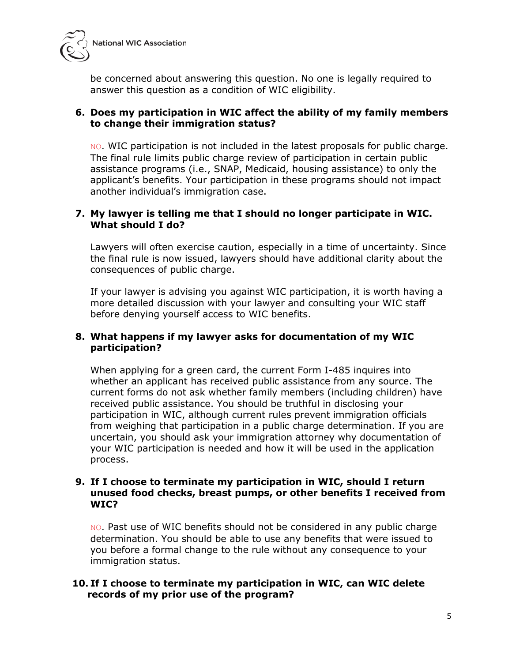

be concerned about answering this question. No one is legally required to answer this question as a condition of WIC eligibility.

#### **6. Does my participation in WIC affect the ability of my family members to change their immigration status?**

NO. WIC participation is not included in the latest proposals for public charge. The final rule limits public charge review of participation in certain public assistance programs (i.e., SNAP, Medicaid, housing assistance) to only the applicant's benefits. Your participation in these programs should not impact another individual's immigration case.

#### **7. My lawyer is telling me that I should no longer participate in WIC. What should I do?**

Lawyers will often exercise caution, especially in a time of uncertainty. Since the final rule is now issued, lawyers should have additional clarity about the consequences of public charge.

If your lawyer is advising you against WIC participation, it is worth having a more detailed discussion with your lawyer and consulting your WIC staff before denying yourself access to WIC benefits.

#### **8. What happens if my lawyer asks for documentation of my WIC participation?**

When applying for a green card, the current Form I-485 inquires into whether an applicant has received public assistance from any source. The current forms do not ask whether family members (including children) have received public assistance. You should be truthful in disclosing your participation in WIC, although current rules prevent immigration officials from weighing that participation in a public charge determination. If you are uncertain, you should ask your immigration attorney why documentation of your WIC participation is needed and how it will be used in the application process.

#### **9. If I choose to terminate my participation in WIC, should I return unused food checks, breast pumps, or other benefits I received from WIC?**

NO. Past use of WIC benefits should not be considered in any public charge determination. You should be able to use any benefits that were issued to you before a formal change to the rule without any consequence to your immigration status.

#### **10. If I choose to terminate my participation in WIC, can WIC delete records of my prior use of the program?**